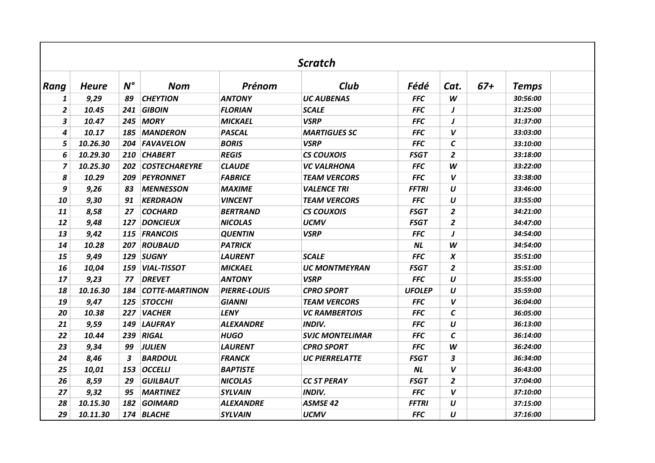| <b>Scratch</b> |              |             |                       |                     |                        |               |                  |       |              |  |
|----------------|--------------|-------------|-----------------------|---------------------|------------------------|---------------|------------------|-------|--------------|--|
| Rang           | <b>Heure</b> | $N^{\circ}$ | <b>Nom</b>            | Prénom              | Club                   | Fédé          | Cat.             | $67+$ | <b>Temps</b> |  |
| 1              | 9,29         | 89          | <b>CHEYTION</b>       | <b>ANTONY</b>       | <b>UC AUBENAS</b>      | <b>FFC</b>    | W                |       | 30:56:00     |  |
| 2              | 10.45        | 241         | <b>GIBOIN</b>         | <b>FLORIAN</b>      | <b>SCALE</b>           | <b>FFC</b>    | J                |       | 31:25:00     |  |
| 3              | 10.47        |             | 245 MORY              | <b>MICKAEL</b>      | <b>VSRP</b>            | <b>FFC</b>    | J                |       | 31:37:00     |  |
| 4              | 10.17        | 185         | <b>MANDERON</b>       | <b>PASCAL</b>       | <b>MARTIGUES SC</b>    | <b>FFC</b>    | V                |       | 33:03:00     |  |
| 5              | 10.26.30     | 204         | <b>FAVAVELON</b>      | <b>BORIS</b>        | <b>VSRP</b>            | <b>FFC</b>    | $\mathcal{C}$    |       | 33:10:00     |  |
| 6              | 10.29.30     | 210         | <b>CHABERT</b>        | <b>REGIS</b>        | <b>CS COUXOIS</b>      | <b>FSGT</b>   | $\overline{2}$   |       | 33:18:00     |  |
| 7              | 10.25.30     | 202         | <b>COSTECHAREYRE</b>  | <b>CLAUDE</b>       | <b>VC VALRHONA</b>     | <b>FFC</b>    | W                |       | 33:22:00     |  |
| 8              | 10.29        | 209         | PEYRONNET             | <b>FABRICE</b>      | <b>TEAM VERCORS</b>    | <b>FFC</b>    | $\boldsymbol{V}$ |       | 33:38:00     |  |
| 9              | 9,26         | 83          | <b>MENNESSON</b>      | <b>MAXIME</b>       | <b>VALENCE TRI</b>     | <b>FFTRI</b>  | $\boldsymbol{U}$ |       | 33:46:00     |  |
| 10             | 9,30         | 91          | <b>KERDRAON</b>       | <b>VINCENT</b>      | <b>TEAM VERCORS</b>    | <b>FFC</b>    | $\boldsymbol{U}$ |       | 33:55:00     |  |
| 11             | 8,58         | 27          | <b>COCHARD</b>        | <b>BERTRAND</b>     | <b>CS COUXOIS</b>      | <b>FSGT</b>   | $\overline{2}$   |       | 34:21:00     |  |
| 12             | 9,48         | 127         | <b>DONCIEUX</b>       | <b>NICOLAS</b>      | <b>UCMV</b>            | <b>FSGT</b>   | $\overline{2}$   |       | 34:47:00     |  |
| 13             | 9,42         | 115         | <b>FRANCOIS</b>       | <b>QUENTIN</b>      | <b>VSRP</b>            | <b>FFC</b>    | J                |       | 34:54:00     |  |
| 14             | 10.28        | 207         | <b>ROUBAUD</b>        | <b>PATRICK</b>      |                        | NL            | W                |       | 34:54:00     |  |
| 15             | 9,49         | 129         | <b>SUGNY</b>          | <b>LAURENT</b>      | <b>SCALE</b>           | <b>FFC</b>    | X                |       | 35:51:00     |  |
| 16             | 10,04        | 159         | <b>VIAL-TISSOT</b>    | <b>MICKAEL</b>      | <b>UC MONTMEYRAN</b>   | <b>FSGT</b>   | $\overline{2}$   |       | 35:51:00     |  |
| 17             | 9,23         | 77          | <b>DREVET</b>         | <b>ANTONY</b>       | <b>VSRP</b>            | <b>FFC</b>    | $\boldsymbol{U}$ |       | 35:55:00     |  |
| 18             | 10.16.30     | 184         | <b>COTTE-MARTINON</b> | <b>PIERRE-LOUIS</b> | <b>CPRO SPORT</b>      | <b>UFOLEP</b> | $\boldsymbol{U}$ |       | 35:59:00     |  |
| 19             | 9,47         |             | 125 STOCCHI           | <b>GIANNI</b>       | <b>TEAM VERCORS</b>    | <b>FFC</b>    | $\boldsymbol{V}$ |       | 36:04:00     |  |
| 20             | 10.38        | 227         | <b>VACHER</b>         | <b>LENY</b>         | <b>VC RAMBERTOIS</b>   | <b>FFC</b>    | $\mathsf{C}$     |       | 36:05:00     |  |
| 21             | 9,59         | 149         | <b>LAUFRAY</b>        | <b>ALEXANDRE</b>    | <b>INDIV.</b>          | <b>FFC</b>    | $\boldsymbol{U}$ |       | 36:13:00     |  |
| 22             | 10.44        | 239         | <b>RIGAL</b>          | <b>HUGO</b>         | <b>SVJC MONTELIMAR</b> | <b>FFC</b>    | $\epsilon$       |       | 36:14:00     |  |
| 23             | 9,34         | 99          | <b>JULIEN</b>         | <b>LAURENT</b>      | <b>CPRO SPORT</b>      | <b>FFC</b>    | W                |       | 36:24:00     |  |
| 24             | 8,46         | 3           | <b>BARDOUL</b>        | <b>FRANCK</b>       | <b>UC PIERRELATTE</b>  | <b>FSGT</b>   | 3                |       | 36:34:00     |  |
| 25             | 10,01        | 153         | <b>OCCELLI</b>        | <b>BAPTISTE</b>     |                        | NL            | V                |       | 36:43:00     |  |
| 26             | 8,59         | 29          | <b>GUILBAUT</b>       | <b>NICOLAS</b>      | <b>CC ST PERAY</b>     | <b>FSGT</b>   | $\overline{2}$   |       | 37:04:00     |  |
| 27             | 9,32         | 95          | <b>MARTINEZ</b>       | <b>SYLVAIN</b>      | <b>INDIV.</b>          | <b>FFC</b>    | V                |       | 37:10:00     |  |
| 28             | 10.15.30     | 182         | <b>GOIMARD</b>        | <b>ALEXANDRE</b>    | <b>ASMSE 42</b>        | <b>FFTRI</b>  | U                |       | 37:15:00     |  |
| 29             | 10.11.30     |             | 174 BLACHE            | <b>SYLVAIN</b>      | <b>UCMV</b>            | <b>FFC</b>    | U                |       | 37:16:00     |  |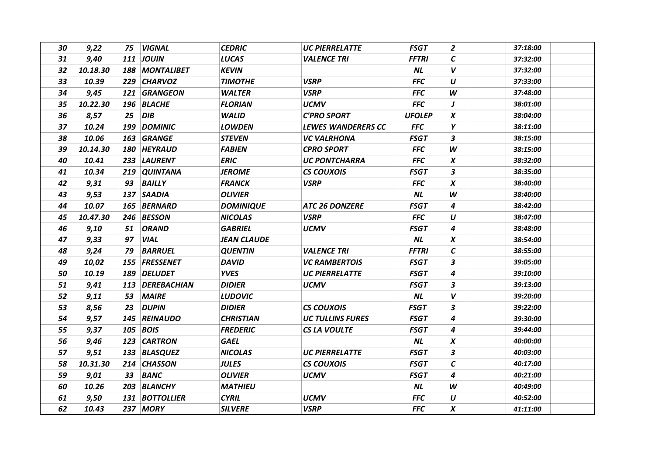| 30 | 9,22     | 75 | <b>VIGNAL</b>    | <b>CEDRIC</b>      | <b>UC PIERRELATTE</b>   | <b>FSGT</b>   | $\overline{2}$   | 37:18:00 |
|----|----------|----|------------------|--------------------|-------------------------|---------------|------------------|----------|
| 31 | 9,40     |    | <b>111 JOUIN</b> | <b>LUCAS</b>       | <b>VALENCE TRI</b>      | <b>FFTRI</b>  | $\mathcal C$     | 37:32:00 |
| 32 | 10.18.30 |    | 188 MONTALIBET   | <b>KEVIN</b>       |                         | <b>NL</b>     | $\boldsymbol{V}$ | 37:32:00 |
| 33 | 10.39    |    | 229 CHARVOZ      | <b>TIMOTHE</b>     | <b>VSRP</b>             | <b>FFC</b>    | U                | 37:33:00 |
| 34 | 9,45     |    | 121 GRANGEON     | <b>WALTER</b>      | <b>VSRP</b>             | <b>FFC</b>    | W                | 37:48:00 |
| 35 | 10.22.30 |    | 196 BLACHE       | <b>FLORIAN</b>     | <b>UCMV</b>             | <b>FFC</b>    | J                | 38:01:00 |
| 36 | 8,57     | 25 | <b>DIB</b>       | <b>WALID</b>       | <b>C'PRO SPORT</b>      | <b>UFOLEP</b> | $\boldsymbol{x}$ | 38:04:00 |
| 37 | 10.24    |    | 199 DOMINIC      | <b>LOWDEN</b>      | LEWES WANDERERS CC      | <b>FFC</b>    | Υ                | 38:11:00 |
| 38 | 10.06    |    | 163 GRANGE       | <b>STEVEN</b>      | <b>VC VALRHONA</b>      | <b>FSGT</b>   | 3                | 38:15:00 |
| 39 | 10.14.30 |    | 180 HEYRAUD      | <b>FABIEN</b>      | <b>CPRO SPORT</b>       | <b>FFC</b>    | W                | 38:15:00 |
| 40 | 10.41    |    | 233 LAURENT      | <b>ERIC</b>        | <b>UC PONTCHARRA</b>    | <b>FFC</b>    | $\boldsymbol{x}$ | 38:32:00 |
| 41 | 10.34    |    | 219 QUINTANA     | <b>JEROME</b>      | <b>CS COUXOIS</b>       | <b>FSGT</b>   | 3                | 38:35:00 |
| 42 | 9,31     | 93 | <b>BAILLY</b>    | <b>FRANCK</b>      | <b>VSRP</b>             | <b>FFC</b>    | $\boldsymbol{x}$ | 38:40:00 |
| 43 | 9,53     |    | 137 SAADIA       | <b>OLIVIER</b>     |                         | NL            | W                | 38:40:00 |
| 44 | 10.07    |    | 165 BERNARD      | <b>DOMINIQUE</b>   | <b>ATC 26 DONZERE</b>   | <b>FSGT</b>   | 4                | 38:42:00 |
| 45 | 10.47.30 |    | 246 BESSON       | <b>NICOLAS</b>     | <b>VSRP</b>             | <b>FFC</b>    | U                | 38:47:00 |
| 46 | 9,10     | 51 | <b>ORAND</b>     | <b>GABRIEL</b>     | <b>UCMV</b>             | <b>FSGT</b>   | 4                | 38:48:00 |
| 47 | 9,33     | 97 | <b>VIAL</b>      | <b>JEAN CLAUDE</b> |                         | <b>NL</b>     | $\boldsymbol{x}$ | 38:54:00 |
| 48 | 9,24     | 79 | <b>BARRUEL</b>   | <b>QUENTIN</b>     | <b>VALENCE TRI</b>      | <b>FFTRI</b>  | $\mathcal C$     | 38:55:00 |
| 49 | 10,02    |    | 155 FRESSENET    | <b>DAVID</b>       | <b>VC RAMBERTOIS</b>    | <b>FSGT</b>   | 3                | 39:05:00 |
| 50 | 10.19    |    | 189 DELUDET      | <b>YVES</b>        | <b>UC PIERRELATTE</b>   | <b>FSGT</b>   | 4                | 39:10:00 |
| 51 | 9,41     |    | 113 DEREBACHIAN  | <b>DIDIER</b>      | <b>UCMV</b>             | <b>FSGT</b>   | $\mathbf{3}$     | 39:13:00 |
| 52 | 9,11     | 53 | <b>MAIRE</b>     | <b>LUDOVIC</b>     |                         | <b>NL</b>     | V                | 39:20:00 |
| 53 | 8,56     | 23 | <b>DUPIN</b>     | <b>DIDIER</b>      | <b>CS COUXOIS</b>       | <b>FSGT</b>   | 3                | 39:22:00 |
| 54 | 9,57     |    | 145 REINAUDO     | <b>CHRISTIAN</b>   | <b>UC TULLINS FURES</b> | <b>FSGT</b>   | 4                | 39:30:00 |
| 55 | 9,37     |    | 105 BOIS         | <b>FREDERIC</b>    | <b>CS LA VOULTE</b>     | <b>FSGT</b>   | 4                | 39:44:00 |
| 56 | 9,46     |    | 123 CARTRON      | <b>GAEL</b>        |                         | <b>NL</b>     | $\pmb{X}$        | 40:00:00 |
| 57 | 9,51     |    | 133 BLASQUEZ     | <b>NICOLAS</b>     | <b>UC PIERRELATTE</b>   | <b>FSGT</b>   | 3                | 40:03:00 |
| 58 | 10.31.30 |    | 214 CHASSON      | <b>JULES</b>       | <b>CS COUXOIS</b>       | <b>FSGT</b>   | $\mathcal C$     | 40:17:00 |
| 59 | 9,01     | 33 | <b>BANC</b>      | <b>OLIVIER</b>     | <b>UCMV</b>             | <b>FSGT</b>   | 4                | 40:21:00 |
| 60 | 10.26    |    | 203 BLANCHY      | <b>MATHIEU</b>     |                         | <b>NL</b>     | W                | 40:49:00 |
| 61 | 9,50     |    | 131 BOTTOLLIER   | <b>CYRIL</b>       | <b>UCMV</b>             | <b>FFC</b>    | $\boldsymbol{U}$ | 40:52:00 |
| 62 | 10.43    |    | 237 MORY         | <b>SILVERE</b>     | <b>VSRP</b>             | <b>FFC</b>    | $\boldsymbol{X}$ | 41:11:00 |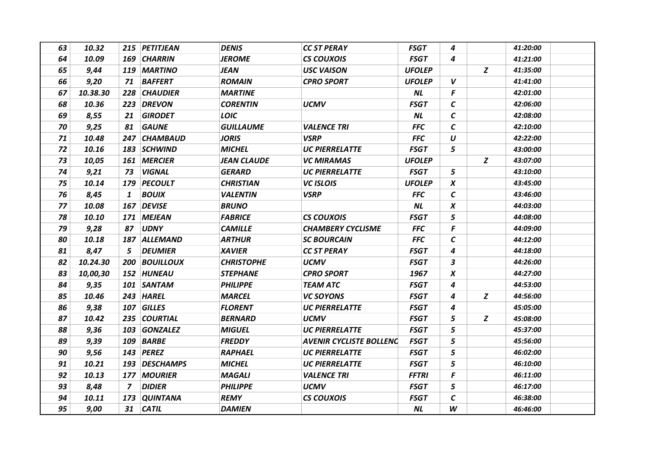| 63 | 10.32    |                | 215 PETITJEAN    | <b>DENIS</b>       | <b>CC ST PERAY</b>             | <b>FSGT</b>   | 4                |   | 41:20:00 |
|----|----------|----------------|------------------|--------------------|--------------------------------|---------------|------------------|---|----------|
| 64 | 10.09    |                | 169 CHARRIN      | <b>JEROME</b>      | CS COUXOIS                     | <b>FSGT</b>   | 4                |   | 41:21:00 |
| 65 | 9,44     |                | 119 MARTINO      | JEAN               | <b>USC VAISON</b>              | <b>UFOLEP</b> |                  | Z | 41:35:00 |
| 66 | 9,20     | 71             | <b>BAFFERT</b>   | <b>ROMAIN</b>      | <b>CPRO SPORT</b>              | <b>UFOLEP</b> | $\boldsymbol{V}$ |   | 41:41:00 |
| 67 | 10.38.30 |                | 228 CHAUDIER     | <b>MARTINE</b>     |                                | <b>NL</b>     | F                |   | 42:01:00 |
| 68 | 10.36    | 223            | <b>DREVON</b>    | <b>CORENTIN</b>    | <b>UCMV</b>                    | <b>FSGT</b>   | $\mathcal C$     |   | 42:06:00 |
| 69 | 8,55     | 21             | <b>GIRODET</b>   | <b>LOIC</b>        |                                | <b>NL</b>     | $\mathcal C$     |   | 42:08:00 |
| 70 | 9,25     | 81             | <b>GAUNE</b>     | <b>GUILLAUME</b>   | <b>VALENCE TRI</b>             | <b>FFC</b>    | $\mathcal C$     |   | 42:10:00 |
| 71 | 10.48    |                | 247 CHAMBAUD     | <b>JORIS</b>       | <b>VSRP</b>                    | <b>FFC</b>    | $\boldsymbol{U}$ |   | 42:22:00 |
| 72 | 10.16    |                | 183 SCHWIND      | <b>MICHEL</b>      | <b>UC PIERRELATTE</b>          | <b>FSGT</b>   | 5                |   | 43:00:00 |
| 73 | 10,05    |                | 161 MERCIER      | <b>JEAN CLAUDE</b> | <b>VC MIRAMAS</b>              | <b>UFOLEP</b> |                  | Z | 43:07:00 |
| 74 | 9,21     | 73             | <b>VIGNAL</b>    | <b>GERARD</b>      | <b>UC PIERRELATTE</b>          | <b>FSGT</b>   | 5                |   | 43:10:00 |
| 75 | 10.14    | 179            | <b>PECOULT</b>   | <b>CHRISTIAN</b>   | <b>VC ISLOIS</b>               | <b>UFOLEP</b> | $\boldsymbol{x}$ |   | 43:45:00 |
| 76 | 8,45     | $\mathbf{1}$   | <b>BOUIX</b>     | <b>VALENTIN</b>    | <b>VSRP</b>                    | <b>FFC</b>    | $\mathcal C$     |   | 43:46:00 |
| 77 | 10.08    |                | 167 DEVISE       | <b>BRUNO</b>       |                                | <b>NL</b>     | $\pmb{X}$        |   | 44:03:00 |
| 78 | 10.10    |                | 171 MEJEAN       | <b>FABRICE</b>     | <b>CS COUXOIS</b>              | <b>FSGT</b>   | 5                |   | 44:08:00 |
| 79 | 9,28     | 87             | <b>UDNY</b>      | <b>CAMILLE</b>     | <b>CHAMBERY CYCLISME</b>       | <b>FFC</b>    | F                |   | 44:09:00 |
| 80 | 10.18    |                | 187 ALLEMAND     | <b>ARTHUR</b>      | <b>SC BOURCAIN</b>             | <b>FFC</b>    | $\mathcal C$     |   | 44:12:00 |
| 81 | 8,47     | 5              | <b>DEUMIER</b>   | <b>XAVIER</b>      | CC ST PERAY                    | <b>FSGT</b>   | 4                |   | 44:18:00 |
| 82 | 10.24.30 |                | 200 BOUILLOUX    | <b>CHRISTOPHE</b>  | <b>UCMV</b>                    | <b>FSGT</b>   | 3                |   | 44:26:00 |
| 83 | 10,00,30 |                | 152 HUNEAU       | <b>STEPHANE</b>    | <b>CPRO SPORT</b>              | 1967          | $\boldsymbol{x}$ |   | 44:27:00 |
| 84 | 9,35     |                | 101 SANTAM       | <b>PHILIPPE</b>    | <b>TEAM ATC</b>                | <b>FSGT</b>   | 4                |   | 44:53:00 |
| 85 | 10.46    |                | 243 HAREL        | <b>MARCEL</b>      | <b>VC SOYONS</b>               | <b>FSGT</b>   | 4                | Z | 44:56:00 |
| 86 | 9,38     |                | 107 GILLES       | <b>FLORENT</b>     | <b>UC PIERRELATTE</b>          | <b>FSGT</b>   | 4                |   | 45:05:00 |
| 87 | 10.42    |                | 235 COURTIAL     | <b>BERNARD</b>     | <b>UCMV</b>                    | <b>FSGT</b>   | 5                | Z | 45:08:00 |
| 88 | 9,36     |                | 103 GONZALEZ     | <b>MIGUEL</b>      | <b>UC PIERRELATTE</b>          | <b>FSGT</b>   | 5                |   | 45:37:00 |
| 89 | 9,39     | 109            | <b>BARBE</b>     | <b>FREDDY</b>      | <b>AVENIR CYCLISTE BOLLENC</b> | <b>FSGT</b>   | 5                |   | 45:56:00 |
| 90 | 9,56     |                | 143 PEREZ        | <b>RAPHAEL</b>     | <b>UC PIERRELATTE</b>          | <b>FSGT</b>   | 5                |   | 46:02:00 |
| 91 | 10.21    | 193            | <b>DESCHAMPS</b> | <b>MICHEL</b>      | <b>UC PIERRELATTE</b>          | <b>FSGT</b>   | 5                |   | 46:10:00 |
| 92 | 10.13    |                | 177 MOURIER      | <b>MAGALI</b>      | <b>VALENCE TRI</b>             | <b>FFTRI</b>  | F                |   | 46:11:00 |
| 93 | 8,48     | $\overline{z}$ | <b>DIDIER</b>    | <b>PHILIPPE</b>    | <b>UCMV</b>                    | <b>FSGT</b>   | 5                |   | 46:17:00 |
| 94 | 10.11    |                | 173 QUINTANA     | <b>REMY</b>        | <b>CS COUXOIS</b>              | <b>FSGT</b>   | $\mathcal{C}$    |   | 46:38:00 |
| 95 | 9,00     | 31             | <b>CATIL</b>     | <b>DAMIEN</b>      |                                | NL            | W                |   | 46:46:00 |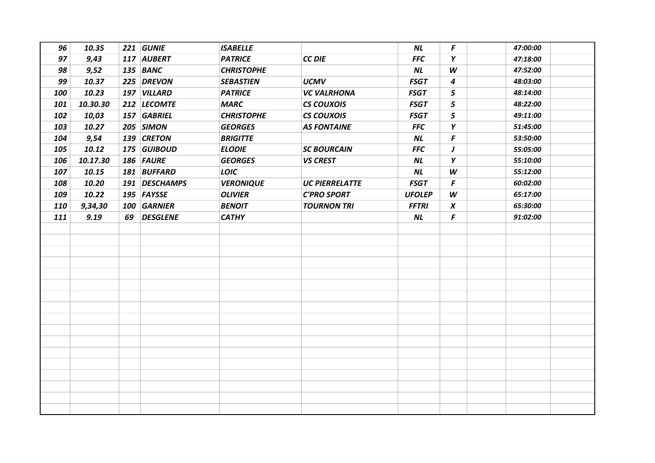| 96  | 10.35    | 221 GUNIE     | <b>ISABELLE</b>   |                       | <b>NL</b>     | F                | 47:00:00 |
|-----|----------|---------------|-------------------|-----------------------|---------------|------------------|----------|
| 97  | 9,43     | 117 AUBERT    | <b>PATRICE</b>    | <b>CC DIE</b>         | <b>FFC</b>    | Y                | 47:18:00 |
| 98  | 9,52     | 135 BANC      | <b>CHRISTOPHE</b> |                       | <b>NL</b>     | W                | 47:52:00 |
| 99  | 10.37    | 225 DREVON    | <b>SEBASTIEN</b>  | <b>UCMV</b>           | <b>FSGT</b>   | 4                | 48:03:00 |
| 100 | 10.23    | 197 VILLARD   | <b>PATRICE</b>    | <b>VC VALRHONA</b>    | <b>FSGT</b>   | 5                | 48:14:00 |
| 101 | 10.30.30 | 212 LECOMTE   | <b>MARC</b>       | <b>CS COUXOIS</b>     | <b>FSGT</b>   | 5                | 48:22:00 |
| 102 | 10,03    | 157 GABRIEL   | <b>CHRISTOPHE</b> | <b>CS COUXOIS</b>     | <b>FSGT</b>   | 5                | 49:11:00 |
| 103 | 10.27    | 205 SIMON     | <b>GEORGES</b>    | <b>AS FONTAINE</b>    | <b>FFC</b>    | Y                | 51:45:00 |
| 104 | 9,54     | 139 CRETON    | <b>BRIGITTE</b>   |                       | <b>NL</b>     | F                | 53:50:00 |
| 105 | 10.12    | 175 GUIBOUD   | <b>ELODIE</b>     | <b>SC BOURCAIN</b>    | <b>FFC</b>    | J                | 55:05:00 |
| 106 | 10.17.30 | 186 FAURE     | <b>GEORGES</b>    | <b>VS CREST</b>       | <b>NL</b>     | Y                | 55:10:00 |
| 107 | 10.15    | 181 BUFFARD   | LOIC              |                       | <b>NL</b>     | W                | 55:12:00 |
| 108 | 10.20    | 191 DESCHAMPS | <b>VERONIQUE</b>  | <b>UC PIERRELATTE</b> | <b>FSGT</b>   | F                | 60:02:00 |
| 109 | 10.22    | 195 FAYSSE    | <b>OLIVIER</b>    | <b>C'PRO SPORT</b>    | <b>UFOLEP</b> | W                | 65:17:00 |
| 110 | 9,34,30  | 100 GARNIER   | <b>BENOIT</b>     | <b>TOURNON TRI</b>    | <b>FFTRI</b>  | $\boldsymbol{X}$ | 65:30:00 |
| 111 | 9.19     | 69 DESGLENE   | <b>CATHY</b>      |                       | <b>NL</b>     | F                | 91:02:00 |
|     |          |               |                   |                       |               |                  |          |
|     |          |               |                   |                       |               |                  |          |
|     |          |               |                   |                       |               |                  |          |
|     |          |               |                   |                       |               |                  |          |
|     |          |               |                   |                       |               |                  |          |
|     |          |               |                   |                       |               |                  |          |
|     |          |               |                   |                       |               |                  |          |
|     |          |               |                   |                       |               |                  |          |
|     |          |               |                   |                       |               |                  |          |
|     |          |               |                   |                       |               |                  |          |
|     |          |               |                   |                       |               |                  |          |
|     |          |               |                   |                       |               |                  |          |
|     |          |               |                   |                       |               |                  |          |
|     |          |               |                   |                       |               |                  |          |
|     |          |               |                   |                       |               |                  |          |
|     |          |               |                   |                       |               |                  |          |
|     |          |               |                   |                       |               |                  |          |